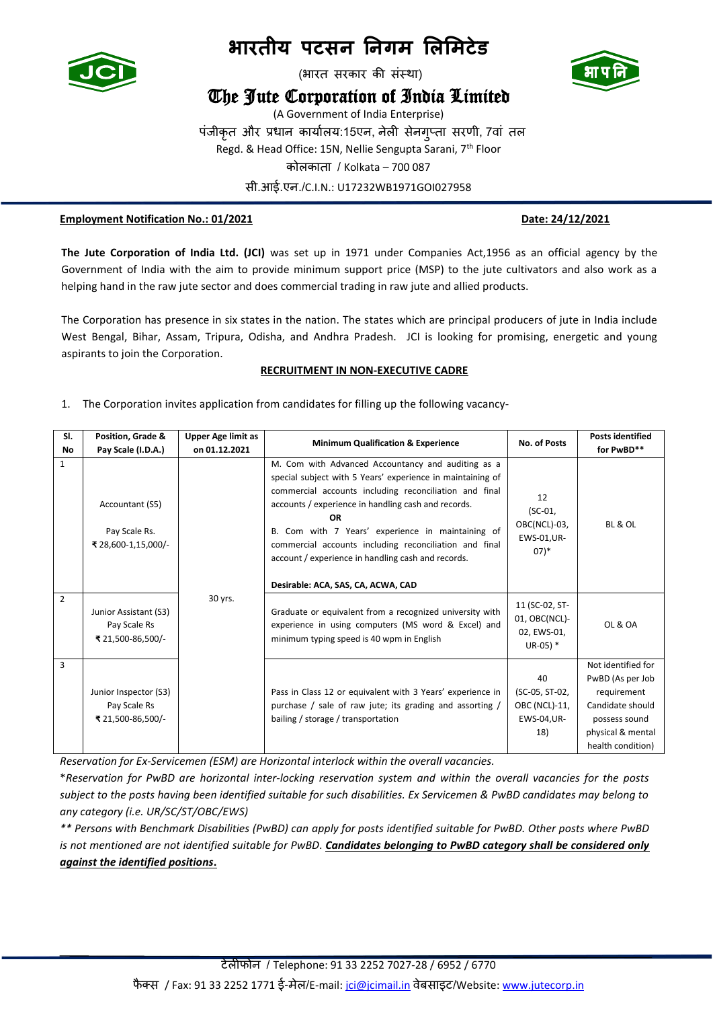

(भारत सरकार की संस्था)

### The Jute Corporation of India Limited

(A Government of India Enterprise) पंजीकृत और प्रधान कार्ाालर्:15एन, नेली सेनगुप्ता सरणी, 7वां तल Regd. & Head Office: 15N, Nellie Sengupta Sarani, 7th Floor कोलकाता / Kolkata – 700 087 सी.आई.एन./C.I.N.: U17232WB1971GOI027958

#### **Employment Notification No.: 01/2021 Date: 24/12/2021**

**The Jute Corporation of India Ltd. (JCI)** was set up in 1971 under Companies Act,1956 as an official agency by the Government of India with the aim to provide minimum support price (MSP) to the jute cultivators and also work as a helping hand in the raw jute sector and does commercial trading in raw jute and allied products.

The Corporation has presence in six states in the nation. The states which are principal producers of jute in India include West Bengal, Bihar, Assam, Tripura, Odisha, and Andhra Pradesh. JCI is looking for promising, energetic and young aspirants to join the Corporation.

### **RECRUITMENT IN NON-EXECUTIVE CADRE**

1. The Corporation invites application from candidates for filling up the following vacancy-

| SI.          | Position, Grade &                                          | <b>Upper Age limit as</b> |                                                                                                                                                                                                                                                                                                                                                                                                                                                           | <b>No. of Posts</b>                                           | <b>Posts identified</b>                                                                                                              |
|--------------|------------------------------------------------------------|---------------------------|-----------------------------------------------------------------------------------------------------------------------------------------------------------------------------------------------------------------------------------------------------------------------------------------------------------------------------------------------------------------------------------------------------------------------------------------------------------|---------------------------------------------------------------|--------------------------------------------------------------------------------------------------------------------------------------|
| No           | Pay Scale (I.D.A.)                                         | on 01.12.2021             | <b>Minimum Qualification &amp; Experience</b>                                                                                                                                                                                                                                                                                                                                                                                                             |                                                               | for PwBD**                                                                                                                           |
| $\mathbf{1}$ | Accountant (S5)<br>Pay Scale Rs.<br>₹ 28,600-1,15,000/-    |                           | M. Com with Advanced Accountancy and auditing as a<br>special subject with 5 Years' experience in maintaining of<br>commercial accounts including reconciliation and final<br>accounts / experience in handling cash and records.<br><b>OR</b><br>B. Com with 7 Years' experience in maintaining of<br>commercial accounts including reconciliation and final<br>account / experience in handling cash and records.<br>Desirable: ACA, SAS, CA, ACWA, CAD | 12<br>$(SC-01,$<br>OBC(NCL)-03,<br>EWS-01, UR-<br>$07)*$      | BL & OL                                                                                                                              |
| 2            | Junior Assistant (S3)<br>Pay Scale Rs<br>₹ 21,500-86,500/- | 30 yrs.                   | Graduate or equivalent from a recognized university with<br>experience in using computers (MS word & Excel) and<br>minimum typing speed is 40 wpm in English                                                                                                                                                                                                                                                                                              | 11 (SC-02, ST-<br>01, OBC(NCL)-<br>02, EWS-01,<br>$UR-05$ ) * | OL & OA                                                                                                                              |
| 3            | Junior Inspector (S3)<br>Pay Scale Rs<br>₹ 21,500-86,500/- |                           | Pass in Class 12 or equivalent with 3 Years' experience in<br>purchase / sale of raw jute; its grading and assorting /<br>bailing / storage / transportation                                                                                                                                                                                                                                                                                              | 40<br>(SC-05, ST-02,<br>OBC (NCL)-11,<br>EWS-04, UR-<br>18)   | Not identified for<br>PwBD (As per Job<br>requirement<br>Candidate should<br>possess sound<br>physical & mental<br>health condition) |

*Reservation for Ex-Servicemen (ESM) are Horizontal interlock within the overall vacancies.*

\**Reservation for PwBD are horizontal inter-locking reservation system and within the overall vacancies for the posts subject to the posts having been identified suitable for such disabilities. Ex Servicemen & PwBD candidates may belong to any category (i.e. UR/SC/ST/OBC/EWS)*

*\*\* Persons with Benchmark Disabilities (PwBD) can apply for posts identified suitable for PwBD. Other posts where PwBD is not mentioned are not identified suitable for PwBD*. *Candidates belonging to PwBD category shall be considered only against the identified positions***.**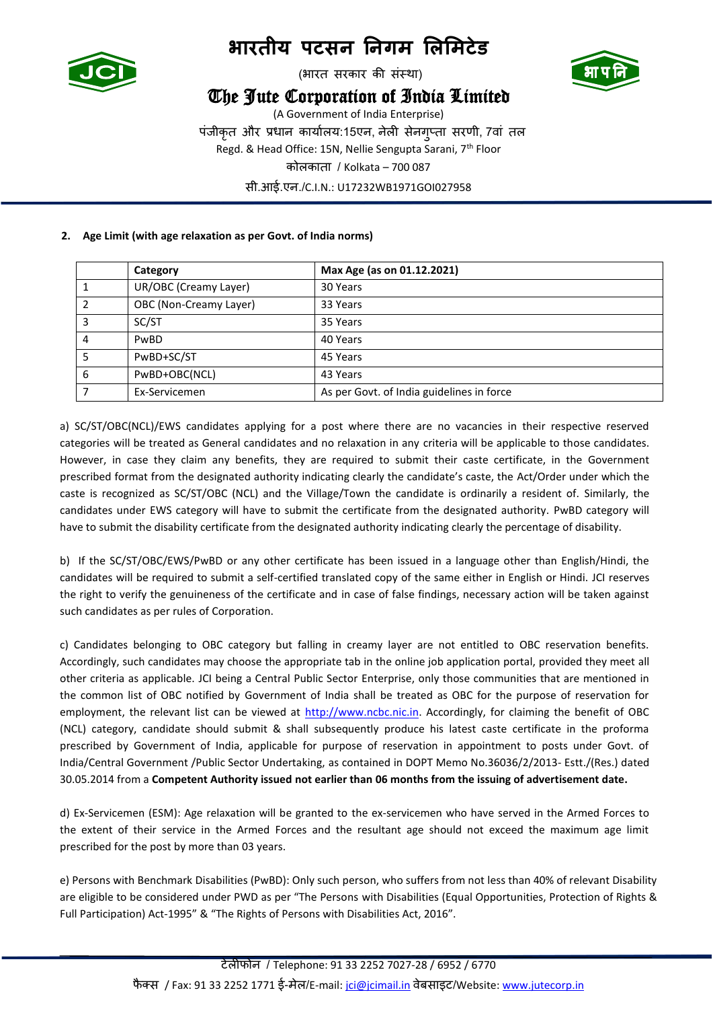

(भारत सरकार की संस्था)

## The Jute Corporation of India Limited



(A Government of India Enterprise) पंजीकृत और प्रधान कार्ाालर्:15एन, नेली सेनगुप्ता सरणी, 7वां तल Regd. & Head Office: 15N, Nellie Sengupta Sarani, 7th Floor कोलकाता / Kolkata – 700 087 सी.आई.एन./C.I.N.: U17232WB1971GOI027958

### **2. Age Limit (with age relaxation as per Govt. of India norms)**

|   | Category               | Max Age (as on 01.12.2021)                |
|---|------------------------|-------------------------------------------|
|   | UR/OBC (Creamy Layer)  | 30 Years                                  |
|   | OBC (Non-Creamy Layer) | 33 Years                                  |
| 3 | SC/ST                  | 35 Years                                  |
| 4 | PwBD                   | 40 Years                                  |
|   | PwBD+SC/ST             | 45 Years                                  |
| 6 | PwBD+OBC(NCL)          | 43 Years                                  |
|   | Ex-Servicemen          | As per Govt. of India guidelines in force |

a) SC/ST/OBC(NCL)/EWS candidates applying for a post where there are no vacancies in their respective reserved categories will be treated as General candidates and no relaxation in any criteria will be applicable to those candidates. However, in case they claim any benefits, they are required to submit their caste certificate, in the Government prescribed format from the designated authority indicating clearly the candidate's caste, the Act/Order under which the caste is recognized as SC/ST/OBC (NCL) and the Village/Town the candidate is ordinarily a resident of. Similarly, the candidates under EWS category will have to submit the certificate from the designated authority. PwBD category will have to submit the disability certificate from the designated authority indicating clearly the percentage of disability.

b) If the SC/ST/OBC/EWS/PwBD or any other certificate has been issued in a language other than English/Hindi, the candidates will be required to submit a self-certified translated copy of the same either in English or Hindi. JCI reserves the right to verify the genuineness of the certificate and in case of false findings, necessary action will be taken against such candidates as per rules of Corporation.

c) Candidates belonging to OBC category but falling in creamy layer are not entitled to OBC reservation benefits. Accordingly, such candidates may choose the appropriate tab in the online job application portal, provided they meet all other criteria as applicable. JCI being a Central Public Sector Enterprise, only those communities that are mentioned in the common list of OBC notified by Government of India shall be treated as OBC for the purpose of reservation for employment, the relevant list can be viewed at [http://www.ncbc.nic.in.](http://www.ncbc.nic.in/) Accordingly, for claiming the benefit of OBC (NCL) category, candidate should submit & shall subsequently produce his latest caste certificate in the proforma prescribed by Government of India, applicable for purpose of reservation in appointment to posts under Govt. of India/Central Government /Public Sector Undertaking, as contained in DOPT Memo No.36036/2/2013- Estt./(Res.) dated 30.05.2014 from a **Competent Authority issued not earlier than 06 months from the issuing of advertisement date.**

d) Ex-Servicemen (ESM): Age relaxation will be granted to the ex-servicemen who have served in the Armed Forces to the extent of their service in the Armed Forces and the resultant age should not exceed the maximum age limit prescribed for the post by more than 03 years.

e) Persons with Benchmark Disabilities (PwBD): Only such person, who suffers from not less than 40% of relevant Disability are eligible to be considered under PWD as per "The Persons with Disabilities (Equal Opportunities, Protection of Rights & Full Participation) Act-1995" & "The Rights of Persons with Disabilities Act, 2016".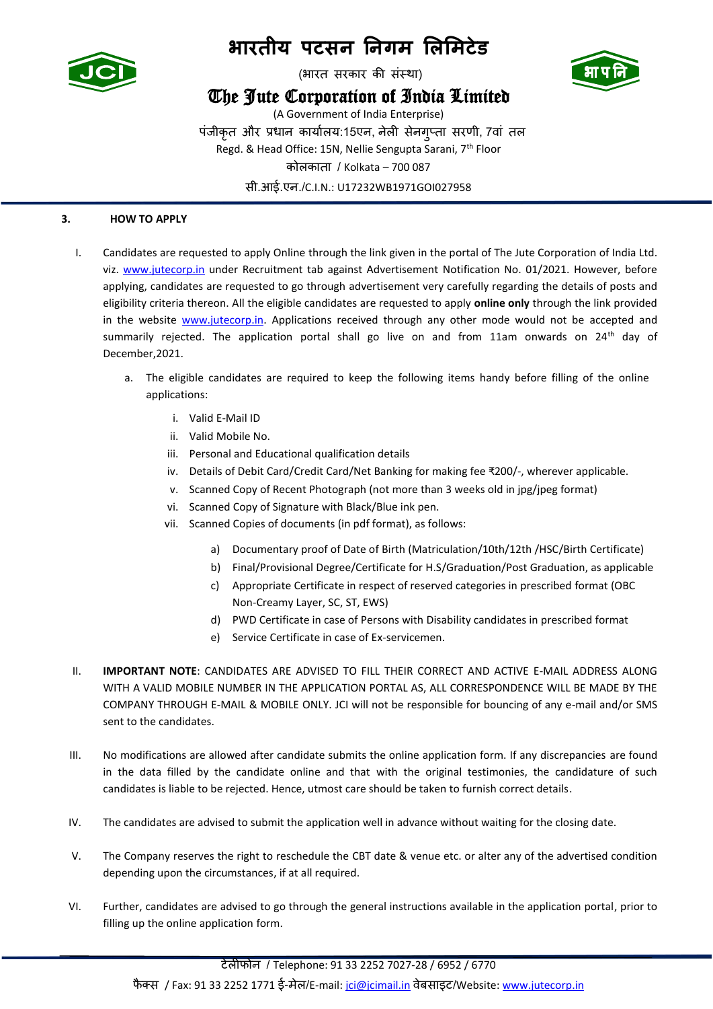

(भारत सरकार की संस्था)

### The Jute Corporation of India Limited



(A Government of India Enterprise) पंजीकृत और प्रधान कार्ाालर्:15एन, नेली सेनगुप्ता सरणी, 7वां तल Regd. & Head Office: 15N, Nellie Sengupta Sarani, 7<sup>th</sup> Floor कोलकाता / Kolkata – 700 087 सी.आई.एन./C.I.N.: U17232WB1971GOI027958

### **3. HOW TO APPLY**

- I. Candidates are requested to apply Online through the link given in the portal of The Jute Corporation of India Ltd. viz. [www.jutecorp.in](http://www.jutecorp.in/) under Recruitment tab against Advertisement Notification No. 01/2021. However, before applying, candidates are requested to go through advertisement very carefully regarding the details of posts and eligibility criteria thereon. All the eligible candidates are requested to apply **online only** through the link provided in the website **www.jutecorp.in**. Applications received through any other mode would not be accepted and summarily rejected. The application portal shall go live on and from 11am onwards on 24<sup>th</sup> day of December,2021.
	- a. The eligible candidates are required to keep the following items handy before filling of the online applications:
		- i. Valid E-Mail ID
		- ii. Valid Mobile No.
		- iii. Personal and Educational qualification details
		- iv. Details of Debit Card/Credit Card/Net Banking for making fee ₹200/-, wherever applicable.
		- v. Scanned Copy of Recent Photograph (not more than 3 weeks old in jpg/jpeg format)
		- vi. Scanned Copy of Signature with Black/Blue ink pen.
		- vii. Scanned Copies of documents (in pdf format), as follows:
			- a) Documentary proof of Date of Birth (Matriculation/10th/12th /HSC/Birth Certificate)
			- b) Final/Provisional Degree/Certificate for H.S/Graduation/Post Graduation, as applicable
			- c) Appropriate Certificate in respect of reserved categories in prescribed format (OBC Non-Creamy Layer, SC, ST, EWS)
			- d) PWD Certificate in case of Persons with Disability candidates in prescribed format
			- e) Service Certificate in case of Ex-servicemen.
- II. **IMPORTANT NOTE**: CANDIDATES ARE ADVISED TO FILL THEIR CORRECT AND ACTIVE E-MAIL ADDRESS ALONG WITH A VALID MOBILE NUMBER IN THE APPLICATION PORTAL AS, ALL CORRESPONDENCE WILL BE MADE BY THE COMPANY THROUGH E-MAIL & MOBILE ONLY. JCI will not be responsible for bouncing of any e-mail and/or SMS sent to the candidates.
- III. No modifications are allowed after candidate submits the online application form. If any discrepancies are found in the data filled by the candidate online and that with the original testimonies, the candidature of such candidates is liable to be rejected. Hence, utmost care should be taken to furnish correct details.
- IV. The candidates are advised to submit the application well in advance without waiting for the closing date.
- V. The Company reserves the right to reschedule the CBT date & venue etc. or alter any of the advertised condition depending upon the circumstances, if at all required.
- VI. Further, candidates are advised to go through the general instructions available in the application portal, prior to filling up the online application form.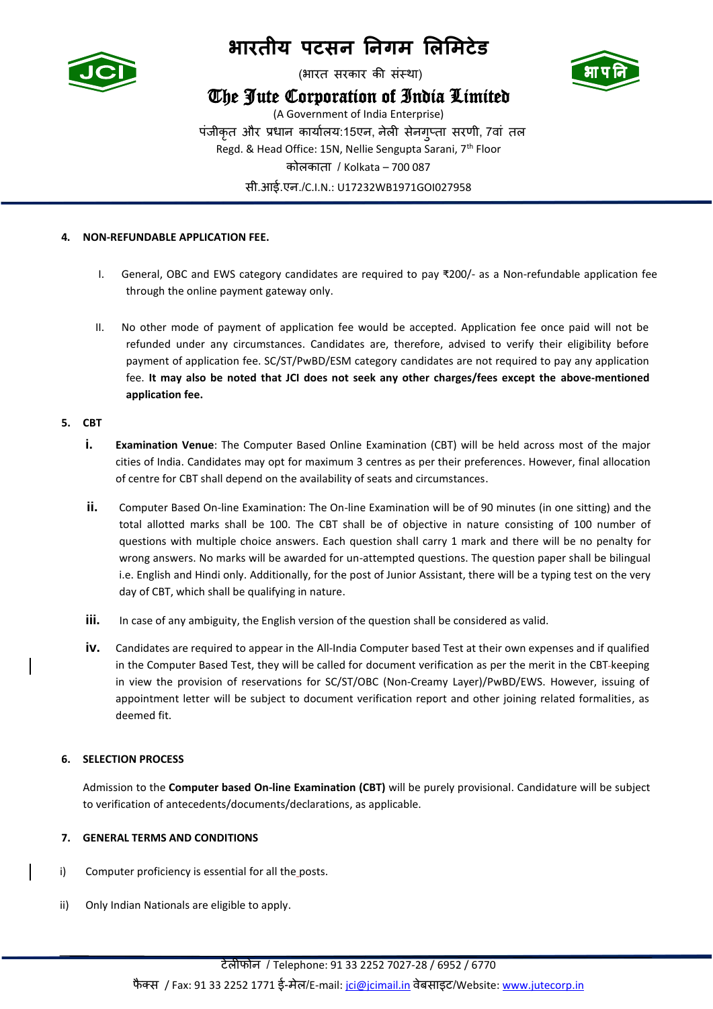

(भारत सरकार की संस्था)

### The Jute Corporation of India Limited



(A Government of India Enterprise) पंजीकृत और प्रधान कार्ाालर्:15एन, नेली सेनगुप्ता सरणी, 7वां तल Regd. & Head Office: 15N, Nellie Sengupta Sarani, 7<sup>th</sup> Floor कोलकाता / Kolkata – 700 087 सी.आई.एन./C.I.N.: U17232WB1971GOI027958

### **4. NON-REFUNDABLE APPLICATION FEE.**

- I. General, OBC and EWS category candidates are required to pay ₹200/- as a Non-refundable application fee through the online payment gateway only.
- II. No other mode of payment of application fee would be accepted. Application fee once paid will not be refunded under any circumstances. Candidates are, therefore, advised to verify their eligibility before payment of application fee. SC/ST/PwBD/ESM category candidates are not required to pay any application fee. **It may also be noted that JCI does not seek any other charges/fees except the above-mentioned application fee.**

### **5. CBT**

- **i. Examination Venue**: The Computer Based Online Examination (CBT) will be held across most of the major cities of India. Candidates may opt for maximum 3 centres as per their preferences. However, final allocation of centre for CBT shall depend on the availability of seats and circumstances.
- **ii.** Computer Based On-line Examination: The On-line Examination will be of 90 minutes (in one sitting) and the total allotted marks shall be 100. The CBT shall be of objective in nature consisting of 100 number of questions with multiple choice answers. Each question shall carry 1 mark and there will be no penalty for wrong answers. No marks will be awarded for un-attempted questions. The question paper shall be bilingual i.e. English and Hindi only. Additionally, for the post of Junior Assistant, there will be a typing test on the very day of CBT, which shall be qualifying in nature.
- **iii.** In case of any ambiguity, the English version of the question shall be considered as valid.
- **iv.** Candidates are required to appear in the All-India Computer based Test at their own expenses and if qualified in the Computer Based Test, they will be called for document verification as per the merit in the CBT keeping in view the provision of reservations for SC/ST/OBC (Non-Creamy Layer)/PwBD/EWS. However, issuing of appointment letter will be subject to document verification report and other joining related formalities, as deemed fit.

### **6. SELECTION PROCESS**

Admission to the **Computer based On-line Examination (CBT)** will be purely provisional. Candidature will be subject to verification of antecedents/documents/declarations, as applicable.

### **7. GENERAL TERMS AND CONDITIONS**

- i) Computer proficiency is essential for all the posts.
- ii) Only Indian Nationals are eligible to apply.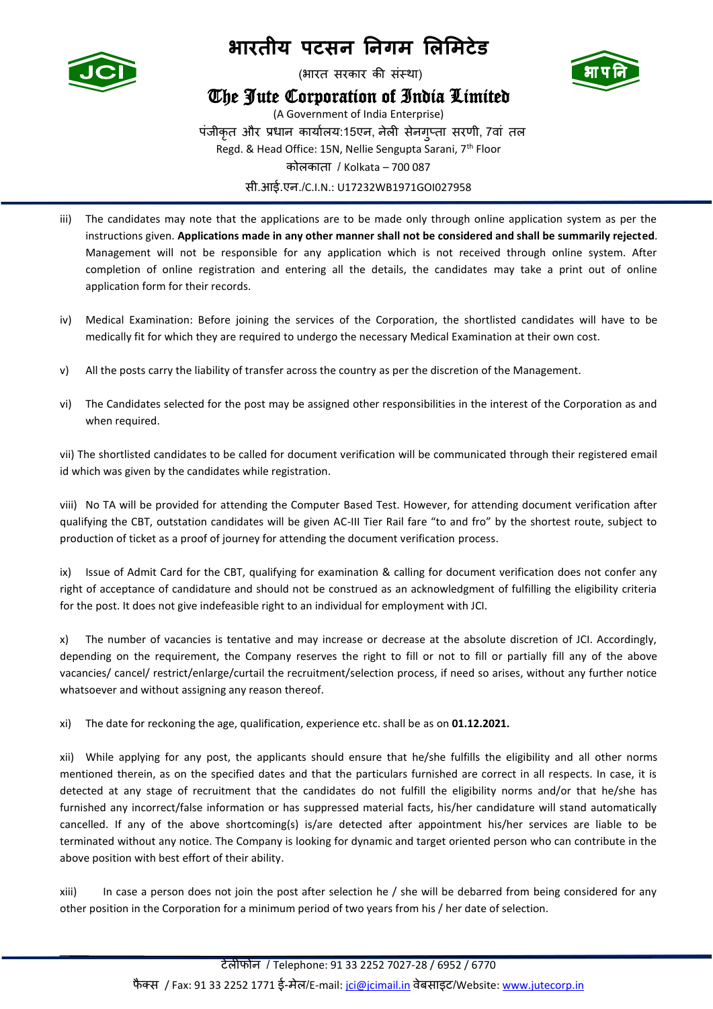

(भारत सरकार की संस्था)

### The Jute Corporation of India Limited



(A Government of India Enterprise) पंजीकृत और प्रधान कार्ाालर्:15एन, नेली सेनगुप्ता सरणी, 7वां तल Regd. & Head Office: 15N, Nellie Sengupta Sarani, 7<sup>th</sup> Floor कोलकाता / Kolkata – 700 087 सी.आई.एन./C.I.N.: U17232WB1971GOI027958

- iii) The candidates may note that the applications are to be made only through online application system as per the instructions given. **Applications made in any other manner shall not be considered and shall be summarily rejected**. Management will not be responsible for any application which is not received through online system. After completion of online registration and entering all the details, the candidates may take a print out of online application form for their records.
- iv) Medical Examination: Before joining the services of the Corporation, the shortlisted candidates will have to be medically fit for which they are required to undergo the necessary Medical Examination at their own cost.
- v) All the posts carry the liability of transfer across the country as per the discretion of the Management.
- vi) The Candidates selected for the post may be assigned other responsibilities in the interest of the Corporation as and when required.

vii) The shortlisted candidates to be called for document verification will be communicated through their registered email id which was given by the candidates while registration.

viii) No TA will be provided for attending the Computer Based Test. However, for attending document verification after qualifying the CBT, outstation candidates will be given AC-III Tier Rail fare "to and fro" by the shortest route, subject to production of ticket as a proof of journey for attending the document verification process.

ix) Issue of Admit Card for the CBT, qualifying for examination & calling for document verification does not confer any right of acceptance of candidature and should not be construed as an acknowledgment of fulfilling the eligibility criteria for the post. It does not give indefeasible right to an individual for employment with JCI.

x) The number of vacancies is tentative and may increase or decrease at the absolute discretion of JCI. Accordingly, depending on the requirement, the Company reserves the right to fill or not to fill or partially fill any of the above vacancies/ cancel/ restrict/enlarge/curtail the recruitment/selection process, if need so arises, without any further notice whatsoever and without assigning any reason thereof.

xi) The date for reckoning the age, qualification, experience etc. shall be as on **01.12.2021.**

xii) While applying for any post, the applicants should ensure that he/she fulfills the eligibility and all other norms mentioned therein, as on the specified dates and that the particulars furnished are correct in all respects. In case, it is detected at any stage of recruitment that the candidates do not fulfill the eligibility norms and/or that he/she has furnished any incorrect/false information or has suppressed material facts, his/her candidature will stand automatically cancelled. If any of the above shortcoming(s) is/are detected after appointment his/her services are liable to be terminated without any notice. The Company is looking for dynamic and target oriented person who can contribute in the above position with best effort of their ability.

xiii) In case a person does not join the post after selection he / she will be debarred from being considered for any other position in the Corporation for a minimum period of two years from his / her date of selection.